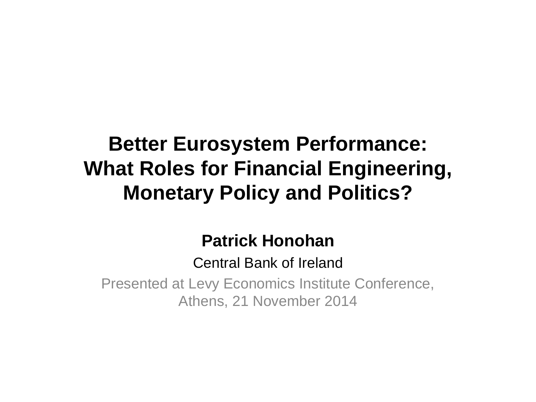# **Better Eurosystem Performance: What Roles for Financial Engineering, Monetary Policy and Politics?**

## **Patrick Honohan**

Central Bank of Ireland

Presented at Levy Economics Institute Conference, Athens, 21 November 2014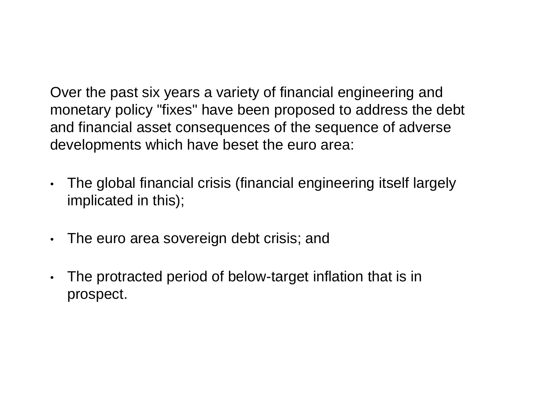Over the past six years a variety of financial engineering and monetary policy "fixes" have been proposed to address the debt and financial asset consequences of the sequence of adverse developments which have beset the euro area:

- The global financial crisis (financial engineering itself largely implicated in this);
- The euro area sovereign debt crisis; and
- The protracted period of below-target inflation that is in prospect.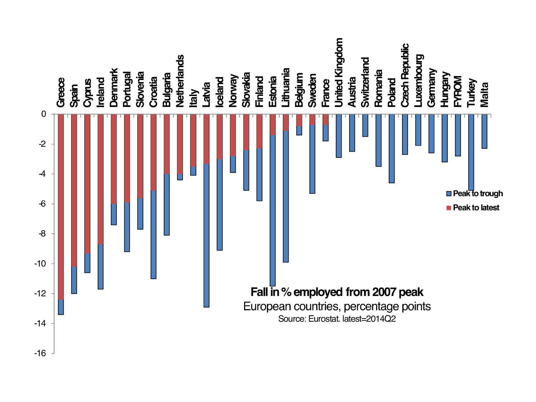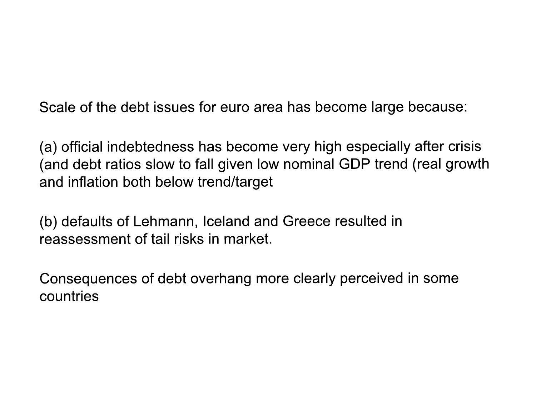Scale of the debt issues for euro area has become large because:

(a) official indebtedness has become very high especially after crisis (and debt ratios slow to fall given low nominal GDP trend (real growth and inflation both below trend/target

(b) defaults of Lehmann, Iceland and Greece resulted in reassessment of tail risks in market.

Consequences of debt overhang more clearly perceived in some countries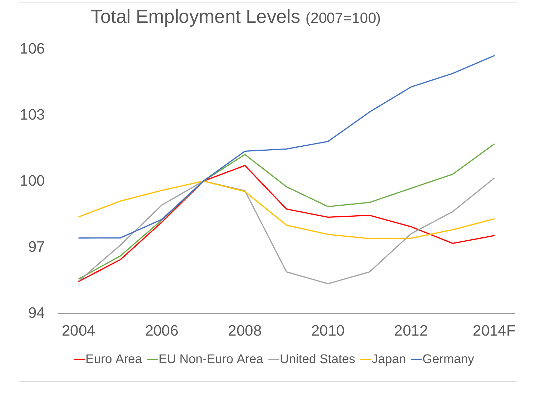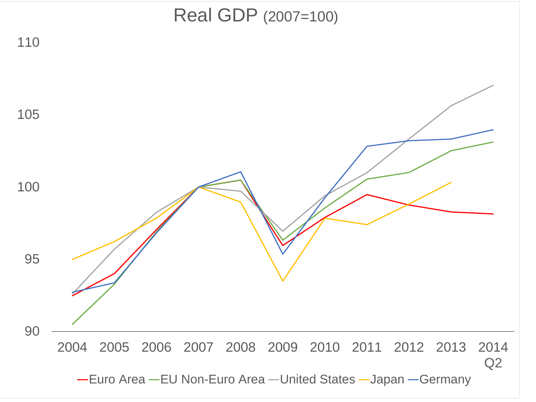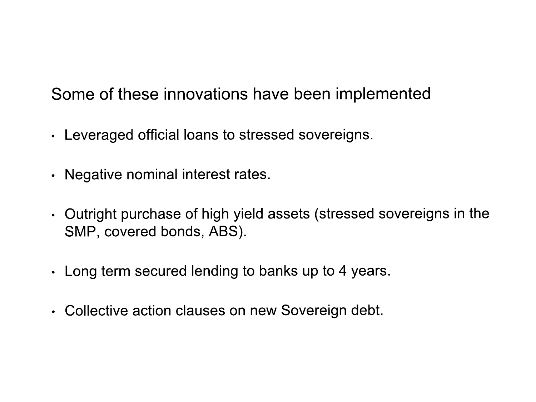Some of these innovations have been implemented

- Leveraged official loans to stressed sovereigns.
- Negative nominal interest rates.
- Outright purchase of high yield assets (stressed sovereigns in the SMP, covered bonds, ABS).
- Long term secured lending to banks up to 4 years.
- Collective action clauses on new Sovereign debt.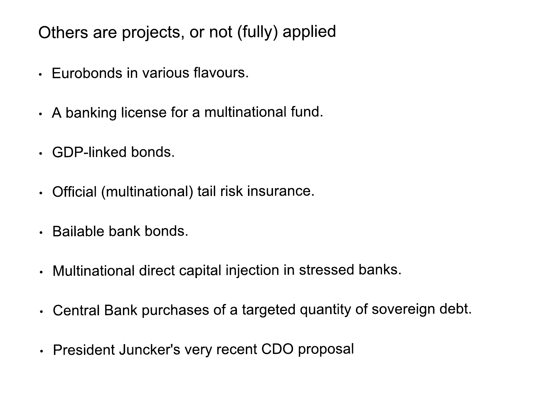Others are projects, or not (fully) applied

- Eurobonds in various flavours.
- A banking license for a multinational fund.
- · GDP-linked bonds.
- Official (multinational) tail risk insurance.
- · Bailable bank bonds.
- Multinational direct capital injection in stressed banks.
- Central Bank purchases of a targeted quantity of sovereign debt.
- President Juncker's very recent CDO proposal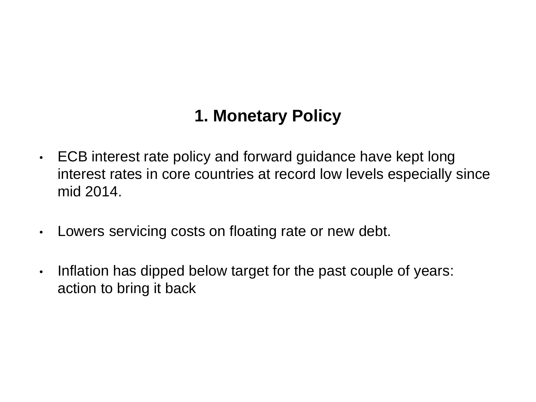### **1. Monetary Policy**

- ECB interest rate policy and forward guidance have kept long interest rates in core countries at record low levels especially since mid 2014.
- Lowers servicing costs on floating rate or new debt.
- Inflation has dipped below target for the past couple of years: action to bring it back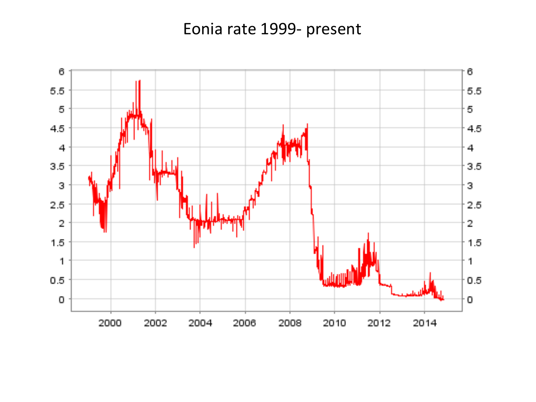### Eonia rate 1999- present

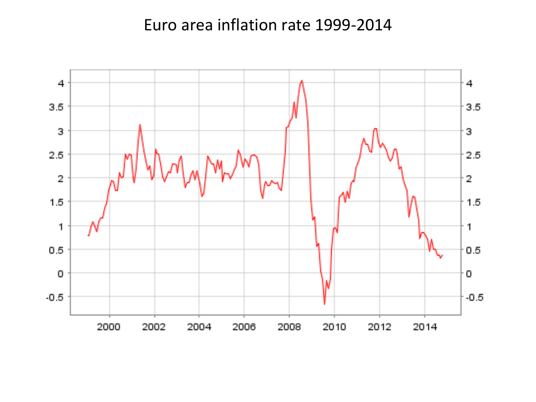#### Euro area inflation rate 1999-2014

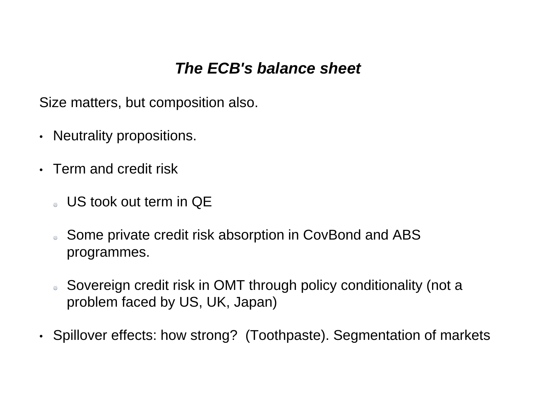#### *The ECB's balance sheet*

Size matters, but composition also.

- Neutrality propositions.
- Term and credit risk
	- US took out term in QE
	- Some private credit risk absorption in CovBond and ABS  $\Theta$ programmes.
	- Sovereign credit risk in OMT through policy conditionality (not a  $\bigcirc$ problem faced by US, UK, Japan)
- Spillover effects: how strong? (Toothpaste). Segmentation of markets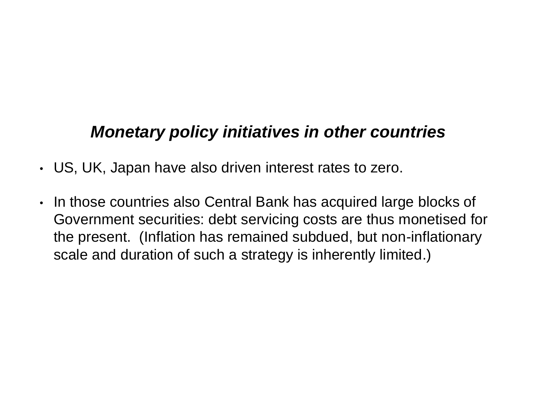### *Monetary policy initiatives in other countries*

- US, UK, Japan have also driven interest rates to zero.
- In those countries also Central Bank has acquired large blocks of Government securities: debt servicing costs are thus monetised for the present. (Inflation has remained subdued, but non-inflationary scale and duration of such a strategy is inherently limited.)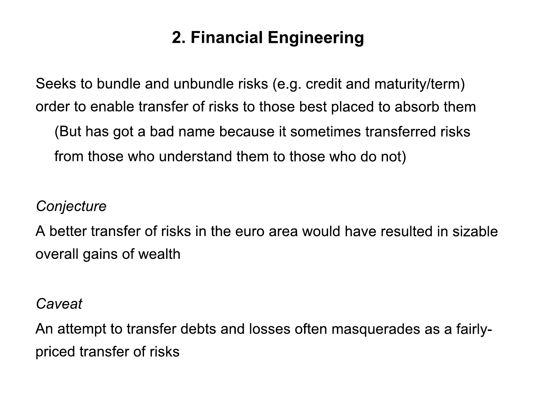## 2. Financial Engineering

Seeks to bundle and unbundle risks (e.g. credit and maturity/term) order to enable transfer of risks to those best placed to absorb them

(But has got a bad name because it sometimes transferred risks from those who understand them to those who do not)

#### Conjecture

A better transfer of risks in the euro area would have resulted in sizable overall gains of wealth

#### Caveat

An attempt to transfer debts and losses often masquerades as a fairlypriced transfer of risks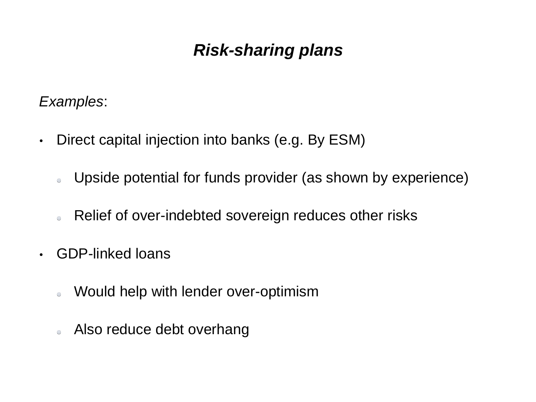### *Risk-sharing plans*

*Examples*:

- Direct capital injection into banks (e.g. By ESM)
	- Upside potential for funds provider (as shown by experience)  $\Theta$
	- Relief of over-indebted sovereign reduces other risks  $\Theta$
- GDP-linked loans
	- Would help with lender over-optimism  $\bigcirc$
	- Also reduce debt overhang $\overline{a}$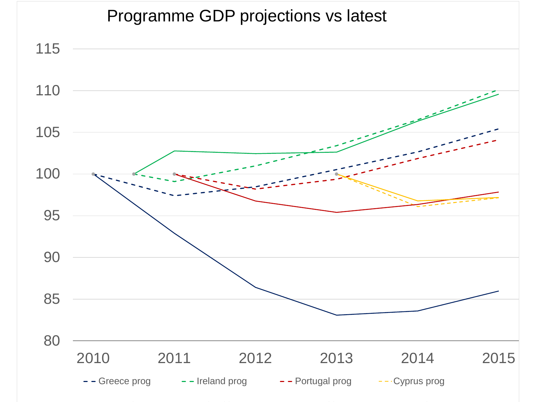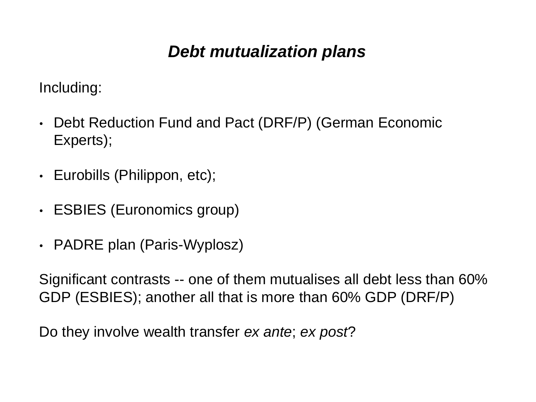### *Debt mutualization plans*

Including:

- Debt Reduction Fund and Pact (DRF/P) (German Economic Experts);
- Eurobills (Philippon, etc);
- ESBIES (Euronomics group)
- PADRE plan (Paris-Wyplosz)

Significant contrasts -- one of them mutualises all debt less than 60% GDP (ESBIES); another all that is more than 60% GDP (DRF/P)

Do they involve wealth transfer *ex ante*; *ex post*?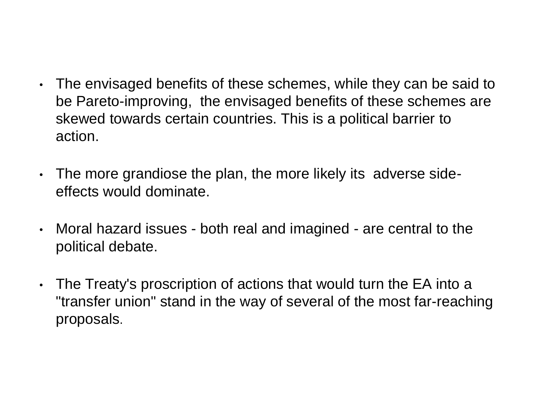- The envisaged benefits of these schemes, while they can be said to be Pareto-improving, the envisaged benefits of these schemes are skewed towards certain countries. This is a political barrier to action.
- The more grandiose the plan, the more likely its adverse sideeffects would dominate.
- Moral hazard issues both real and imagined are central to the political debate.
- The Treaty's proscription of actions that would turn the EA into a "transfer union" stand in the way of several of the most far-reaching proposals.